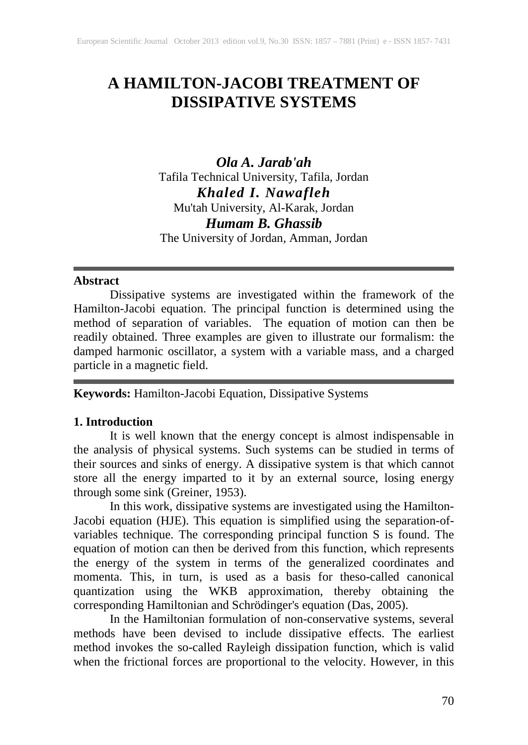# **A HAMILTON-JACOBI TREATMENT OF DISSIPATIVE SYSTEMS**

*Ola A. Jarab'ah* Tafila Technical University, Tafila, Jordan *Khaled I. Nawafleh* Mu'tah University, Al-Karak, Jordan *Humam B. Ghassib* The University of Jordan, Amman, Jordan

# **Abstract**

Dissipative systems are investigated within the framework of the Hamilton-Jacobi equation. The principal function is determined using the method of separation of variables. The equation of motion can then be readily obtained. Three examples are given to illustrate our formalism: the damped harmonic oscillator, a system with a variable mass, and a charged particle in a magnetic field.

**Keywords:** Hamilton-Jacobi Equation, Dissipative Systems

# **1. Introduction**

It is well known that the energy concept is almost indispensable in the analysis of physical systems. Such systems can be studied in terms of their sources and sinks of energy. A dissipative system is that which cannot store all the energy imparted to it by an external source, losing energy through some sink (Greiner, 1953).

In this work, dissipative systems are investigated using the Hamilton-Jacobi equation (HJE). This equation is simplified using the separation-ofvariables technique. The corresponding principal function S is found. The equation of motion can then be derived from this function, which represents the energy of the system in terms of the generalized coordinates and momenta. This, in turn, is used as a basis for theso-called canonical quantization using the WKB approximation, thereby obtaining the corresponding Hamiltonian and Schrödinger's equation (Das, 2005).

In the Hamiltonian formulation of non-conservative systems, several methods have been devised to include dissipative effects. The earliest method invokes the so-called Rayleigh dissipation function, which is valid when the frictional forces are proportional to the velocity. However, in this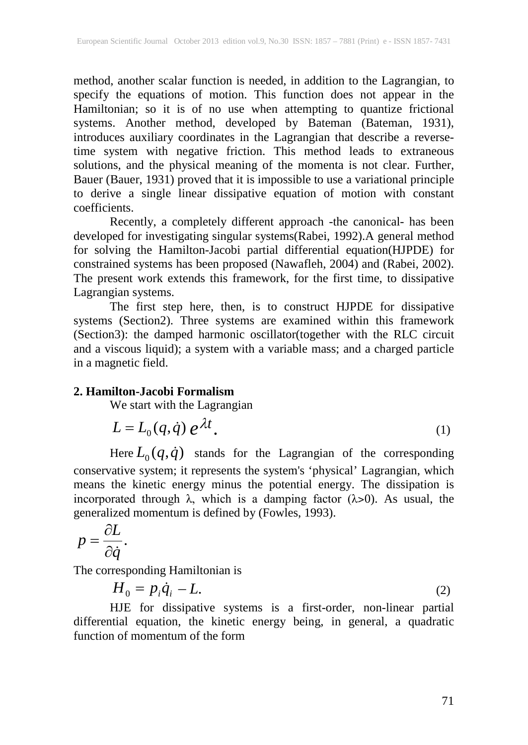method, another scalar function is needed, in addition to the Lagrangian, to specify the equations of motion. This function does not appear in the Hamiltonian; so it is of no use when attempting to quantize frictional systems. Another method, developed by Bateman (Bateman, 1931), introduces auxiliary coordinates in the Lagrangian that describe a reversetime system with negative friction. This method leads to extraneous solutions, and the physical meaning of the momenta is not clear. Further, Bauer (Bauer, 1931) proved that it is impossible to use a variational principle to derive a single linear dissipative equation of motion with constant coefficients.

Recently, a completely different approach -the canonical- has been developed for investigating singular systems(Rabei, 1992).A general method for solving the Hamilton-Jacobi partial differential equation(HJPDE) for constrained systems has been proposed (Nawafleh, 2004) and (Rabei, 2002). The present work extends this framework, for the first time, to dissipative Lagrangian systems.

The first step here, then, is to construct HJPDE for dissipative systems (Section2). Three systems are examined within this framework (Section3): the damped harmonic oscillator(together with the RLC circuit and a viscous liquid); a system with a variable mass; and a charged particle in a magnetic field.

## **2. Hamilton-Jacobi Formalism**

We start with the Lagrangian

$$
L = L_0(q, \dot{q}) e^{\lambda t}.
$$
 (1)

Here  $L_0(q, \dot{q})$  stands for the Lagrangian of the corresponding conservative system; it represents the system's 'physical' Lagrangian, which means the kinetic energy minus the potential energy. The dissipation is incorporated through  $\lambda$ , which is a damping factor ( $\lambda$ >0). As usual, the generalized momentum is defined by (Fowles, 1993).

$$
p = \frac{\partial L}{\partial \dot{q}}.
$$

The corresponding Hamiltonian is

$$
H_0 = p_i \dot{q}_i - L. \tag{2}
$$

HJE for dissipative systems is a first-order, non-linear partial differential equation, the kinetic energy being, in general, a quadratic function of momentum of the form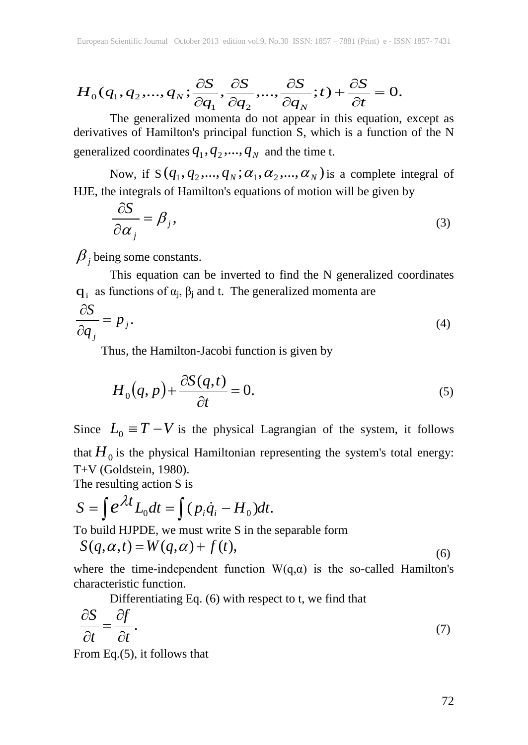$$
H_0(q_1, q_2,..., q_N; \frac{\partial S}{\partial q_1}, \frac{\partial S}{\partial q_2},..., \frac{\partial S}{\partial q_N}; t) + \frac{\partial S}{\partial t} = 0.
$$

The generalized momenta do not appear in this equation, except as derivatives of Hamilton's principal function S, which is a function of the N generalized coordinates  $q_1$ ,  $q_2$ ,...,  $q_N$  and the time t.

Now, if  $S(q_1, q_2, \ldots, q_N; \alpha_1, \alpha_2, \ldots, \alpha_N)$  is a complete integral of HJE, the integrals of Hamilton's equations of motion will be given by

$$
\frac{\partial S}{\partial \alpha_j} = \beta_j,
$$
\n(3)

 $\beta$  *j* being some constants.

This equation can be inverted to find the N generalized coordinates q; as functions of  $\alpha_i$ ,  $\beta_i$  and t. The generalized momenta are

$$
\frac{\partial S}{\partial q_j} = p_j. \tag{4}
$$

Thus, the Hamilton-Jacobi function is given by

$$
H_0(q, p) + \frac{\partial S(q, t)}{\partial t} = 0.
$$
\n(5)

Since  $L_0 \equiv T - V$  is the physical Lagrangian of the system, it follows that  $H_0$  is the physical Hamiltonian representing the system's total energy: T+V (Goldstein, 1980).

The resulting action S is

$$
S = \int e^{\lambda t} L_0 dt = \int (p_i \dot{q}_i - H_0) dt.
$$

To build HJPDE, we must write S in the separable form

$$
S(q, \alpha, t) = W(q, \alpha) + f(t), \tag{6}
$$

where the time-independent function  $W(q,\alpha)$  is the so-called Hamilton's characteristic function.

Differentiating Eq. (6) with respect to t, we find that

$$
\frac{\partial S}{\partial t} = \frac{\partial f}{\partial t}.\tag{7}
$$

From Eq.(5), it follows that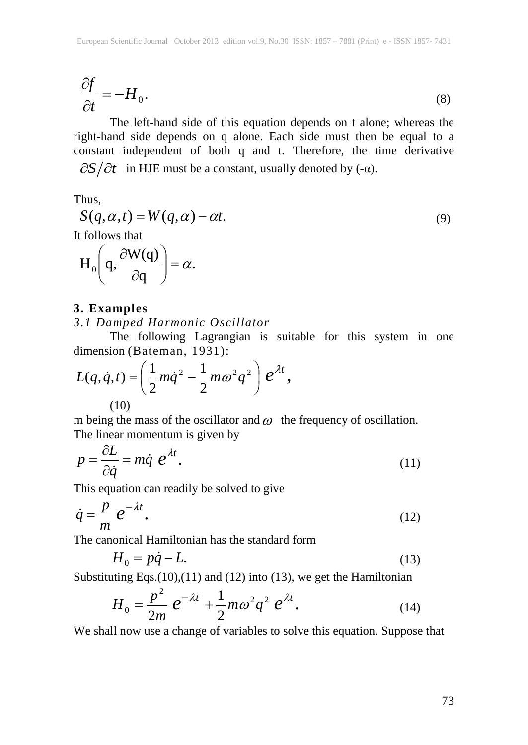$$
\frac{\partial f}{\partial t} = -H_0.
$$
\n(8)

The left-hand side of this equation depends on t alone; whereas the right-hand side depends on q alone. Each side must then be equal to a constant independent of both q and t. Therefore, the time derivative  $\partial S/\partial t$  in HJE must be a constant, usually denoted by  $(-\alpha)$ .

Thus,

$$
S(q, \alpha, t) = W(q, \alpha) - \alpha t.
$$
\n(9)

It follows that

$$
H_0\left(q, \frac{\partial W(q)}{\partial q}\right) = \alpha.
$$

## **3. Examples**

## *3.1 Damped Harmonic Oscillator*

The following Lagrangian is suitable for this system in one dimension (Bateman, 1931):

$$
L(q, \dot{q}, t) = \left(\frac{1}{2}m\dot{q}^2 - \frac{1}{2}m\omega^2 q^2\right)e^{\lambda t},
$$
  
(10)

m being the mass of the oscillator and  $\omega$  the frequency of oscillation. The linear momentum is given by

$$
p = \frac{\partial L}{\partial \dot{q}} = m\dot{q} e^{\lambda t}.
$$
 (11)

This equation can readily be solved to give

$$
\dot{q} = \frac{p}{m} e^{-\lambda t}.
$$
 (12)

The canonical Hamiltonian has the standard form

$$
H_0 = p\dot{q} - L.\t\t(13)
$$

Substituting Eqs.(10),(11) and (12) into (13), we get the Hamiltonian

$$
H_0 = \frac{p^2}{2m} e^{-\lambda t} + \frac{1}{2} m \omega^2 q^2 e^{\lambda t}.
$$
 (14)

We shall now use a change of variables to solve this equation. Suppose that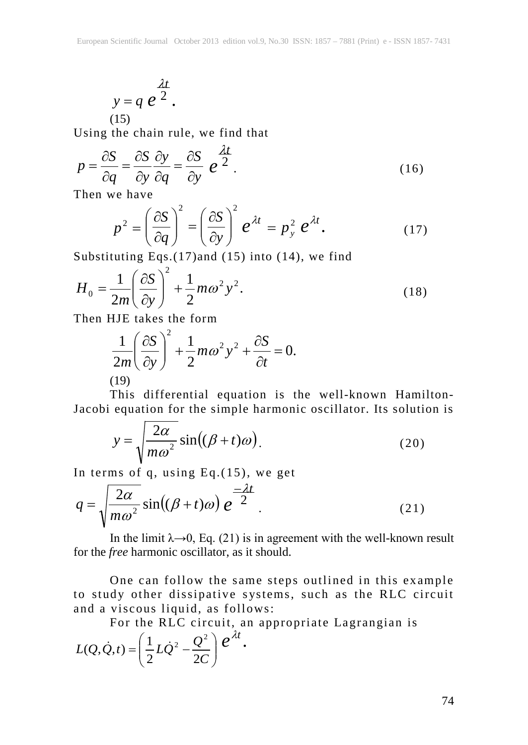$$
y = q e^{\frac{\lambda t}{2}}.
$$
\n(15)

Using the chain rule, we find that

$$
p = \frac{\partial S}{\partial q} = \frac{\partial S}{\partial y} \frac{\partial y}{\partial q} = \frac{\partial S}{\partial y} e^{\frac{\lambda t}{2}}.
$$
 (16)

Then we have

$$
p^{2} = \left(\frac{\partial S}{\partial q}\right)^{2} = \left(\frac{\partial S}{\partial y}\right)^{2} e^{\lambda t} = p_{y}^{2} e^{\lambda t}.
$$
 (17)

Substituting Eqs.(17)and (15) into (14), we find

$$
H_0 = \frac{1}{2m} \left(\frac{\partial S}{\partial y}\right)^2 + \frac{1}{2}m\omega^2 y^2.
$$
 (18)

Then HJE takes the form

$$
\frac{1}{2m} \left(\frac{\partial S}{\partial y}\right)^2 + \frac{1}{2}m\omega^2 y^2 + \frac{\partial S}{\partial t} = 0.
$$
\n(19)

This differential equation is the well-known Hamilton-Jacobi equation for the simple harmonic oscillator. Its solution is

$$
y = \sqrt{\frac{2\alpha}{m\omega^2}} \sin((\beta + t)\omega).
$$
 (20)

In terms of q, using  $Eq.(15)$ , we get

$$
q = \sqrt{\frac{2\alpha}{m\omega^2}} \sin((\beta + t)\omega) e^{-\frac{2\alpha}{2}}.
$$
 (21)

In the limit  $\lambda \rightarrow 0$ , Eq. (21) is in agreement with the well-known result for the *free* harmonic oscillator, as it should.

One can follow the same steps outlined in this example to study other dissipative systems, such as the RLC circuit and a viscous liquid, as follows:

For the RLC circuit, an appropriate Lagrangian is

$$
L(Q,\dot{Q},t) = \left(\frac{1}{2}L\dot{Q}^2 - \frac{Q^2}{2C}\right)e^{\lambda t}.
$$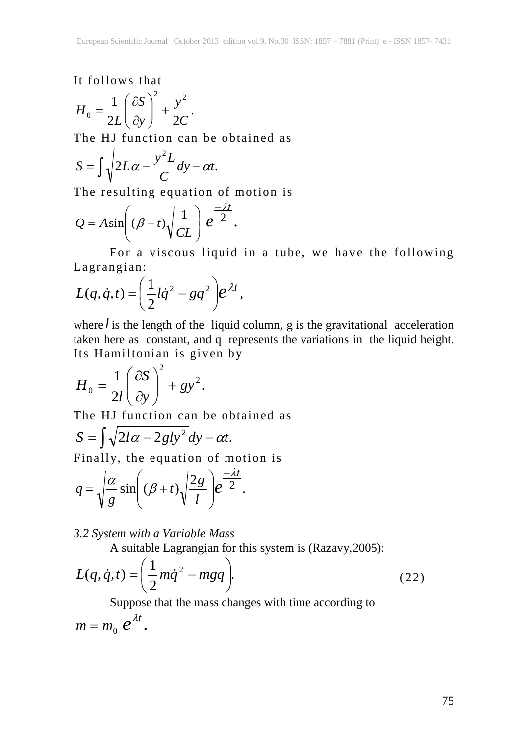It follows that

$$
H_0 = \frac{1}{2L} \left( \frac{\partial S}{\partial y} \right)^2 + \frac{y^2}{2C}.
$$

The HJ function can be obtained as

$$
S = \int \sqrt{2L\alpha - \frac{y^2L}{C}}dy - \alpha t.
$$

The resulting equation of motion is

$$
Q = A \sin \left( (\beta + t) \sqrt{\frac{1}{CL}} \right) e^{-\frac{2t}{2}}.
$$

For a viscous liquid in a tube, we have the following Lagrangian:

$$
L(q, \dot{q}, t) = \left(\frac{1}{2}l\dot{q}^2 - gq^2\right)e^{\lambda t},
$$

where  $l$  is the length of the liquid column, g is the gravitational acceleration taken here as constant, and q represents the variations in the liquid height. Its Hamiltonian is given by

$$
H_0 = \frac{1}{2l} \left( \frac{\partial S}{\partial y} \right)^2 + g y^2.
$$

The HJ function can be obtained as

$$
S = \int \sqrt{2l\alpha - 2gly^2} \, dy - \alpha t.
$$

Finally, the equation of motion is

$$
q = \sqrt{\frac{\alpha}{g}} \sin\left((\beta + t)\sqrt{\frac{2g}{l}}\right) e^{-\frac{\lambda t}{2}}.
$$

## *3.2 System with a Variable Mass*

A suitable Lagrangian for this system is (Razavy,2005):

$$
L(q, \dot{q}, t) = \left(\frac{1}{2}m\dot{q}^2 - mgq\right).
$$
 (22)

Suppose that the mass changes with time according to

$$
m=m_0 e^{\lambda t}.
$$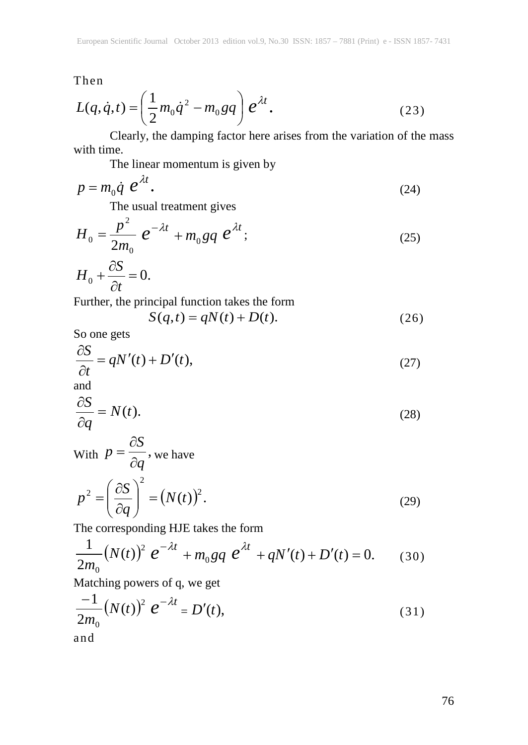Then

$$
L(q, \dot{q}, t) = \left(\frac{1}{2}m_0\dot{q}^2 - m_0gq\right)e^{\lambda t}.
$$
 (23)

Clearly, the damping factor here arises from the variation of the mass with time.

The linear momentum is given by

$$
p = m_0 \dot{q} e^{\lambda t}.
$$
 (24)

The usual treatment gives

$$
H_0 = \frac{p^2}{2m_0} e^{-\lambda t} + m_0 g q e^{\lambda t};
$$
\t(25)

$$
H_0 + \frac{\partial S}{\partial t} = 0.
$$

Further, the principal function takes the form

$$
S(q,t) = qN(t) + D(t). \tag{26}
$$

So one gets

$$
\frac{\partial S}{\partial t} = qN'(t) + D'(t),\tag{27}
$$

and

$$
\frac{\partial S}{\partial q} = N(t). \tag{28}
$$

With 
$$
p = \frac{\partial S}{\partial q}
$$
, we have  
\n
$$
p^2 = \left(\frac{\partial S}{\partial q}\right)^2 = (N(t))^2.
$$
\n(29)

The corresponding HJE takes the form

$$
\frac{1}{2m_0}(N(t))^2 e^{-\lambda t} + m_0 g q e^{\lambda t} + qN'(t) + D'(t) = 0.
$$
 (30)

Matching powers of q, we get

$$
\frac{-1}{2m_0}(N(t))^2 e^{-\lambda t} = D'(t),
$$
\n(31)\nand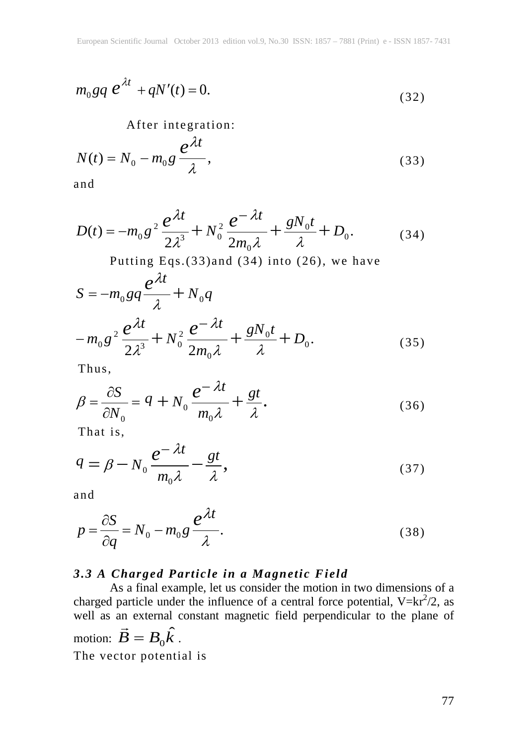$$
m_0 g q \, e^{\lambda t} + qN'(t) = 0. \tag{32}
$$

After integration:

$$
N(t) = N_0 - m_0 g \frac{e^{\lambda t}}{\lambda},
$$
\n(33)

and

$$
D(t) = -m_0 g^2 \frac{e^{\lambda t}}{2\lambda^3} + N_0^2 \frac{e^{-\lambda t}}{2m_0 \lambda} + \frac{gN_0 t}{\lambda} + D_0.
$$
 (34)

Putting Eqs.(33)and (34) into (26), we have

$$
S = -m_0 g q \frac{e^{\lambda t}}{\lambda} + N_0 q
$$
  

$$
-m_0 g^2 \frac{e^{\lambda t}}{2\lambda^3} + N_0^2 \frac{e^{-\lambda t}}{2m_0 \lambda} + \frac{gN_0 t}{\lambda} + D_0.
$$
 (35)

Thus,

$$
\beta = \frac{\partial S}{\partial N_0} = q + N_0 \frac{e^{-\lambda t}}{m_0 \lambda} + \frac{gt}{\lambda}.
$$
\n(36)

That is,

$$
q = \beta - N_0 \frac{e^{-\lambda t}}{m_0 \lambda} - \frac{gt}{\lambda},\tag{37}
$$

and

$$
p = \frac{\partial S}{\partial q} = N_0 - m_0 g \frac{e^{\lambda t}}{\lambda}.
$$
 (38)

# *3.3 A Charged Particle in a Magnetic Field*

As a final example, let us consider the motion in two dimensions of a charged particle under the influence of a central force potential,  $V=kr^2/2$ , as well as an external constant magnetic field perpendicular to the plane of went as an external control.<br>motion:  $\vec{B} = B_0 \hat{k}$ . The vector potential is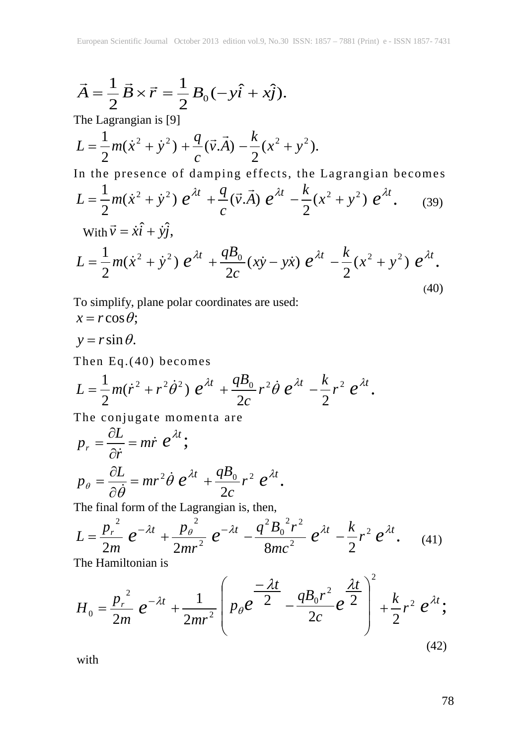$$
\vec{A} = \frac{1}{2} \vec{B} \times \vec{r} = \frac{1}{2} B_0 (-y \hat{i} + x \hat{j}).
$$

The Lagrangian is [9]

$$
L = \frac{1}{2}m(\dot{x}^2 + \dot{y}^2) + \frac{q}{c}(\vec{v}.\vec{A}) - \frac{k}{2}(x^2 + y^2).
$$

In the presence of damping effects, the Lagrangian becomes

$$
L = \frac{1}{2}m(\dot{x}^2 + \dot{y}^2) e^{\lambda t} + \frac{q}{c}(\vec{v}.\vec{A}) e^{\lambda t} - \frac{k}{2}(x^2 + y^2) e^{\lambda t}.
$$
 (39)  
With  $\vec{v} = \dot{x}\hat{i} + \dot{y}\hat{j}$ .

$$
L = \frac{1}{2}m(\dot{x}^2 + \dot{y}^2) e^{\lambda t} + \frac{qB_0}{2c}(x\dot{y} - y\dot{x}) e^{\lambda t} - \frac{k}{2}(x^2 + y^2) e^{\lambda t}.
$$
\n(40)

To simplify, plane polar coordinates are used:  $x = r \cos \theta$ ;

$$
y = r \sin \theta.
$$

Then Eq.(40) becomes

$$
L = \frac{1}{2}m(\dot{r}^2 + r^2\dot{\theta}^2) e^{\lambda t} + \frac{qB_0}{2c}r^2\dot{\theta} e^{\lambda t} - \frac{k}{2}r^2 e^{\lambda t}.
$$

The conjugate momenta are

$$
p_r = \frac{\partial L}{\partial \dot{r}} = m\dot{r} e^{\lambda t};
$$
  
\n
$$
p_\theta = \frac{\partial L}{\partial \dot{\theta}} = mr^2 \dot{\theta} e^{\lambda t} + \frac{qB_0}{2c} r^2 e^{\lambda t}.
$$

The final form of the Lagrangian is, then,

$$
L = \frac{p_r^2}{2m} e^{-\lambda t} + \frac{p_\theta^2}{2mr^2} e^{-\lambda t} - \frac{q^2 B_0^2 r^2}{8mc^2} e^{\lambda t} - \frac{k}{2} r^2 e^{\lambda t}.
$$
 (41)

The Hamiltonian is

$$
H_0 = \frac{p_r^2}{2m} e^{-\lambda t} + \frac{1}{2mr^2} \left( p_\theta e^{-\frac{\lambda t}{2}} - \frac{q B_0 r^2}{2c} e^{-\frac{\lambda t}{2}} \right)^2 + \frac{k}{2} r^2 e^{\lambda t};
$$
\n(42)

with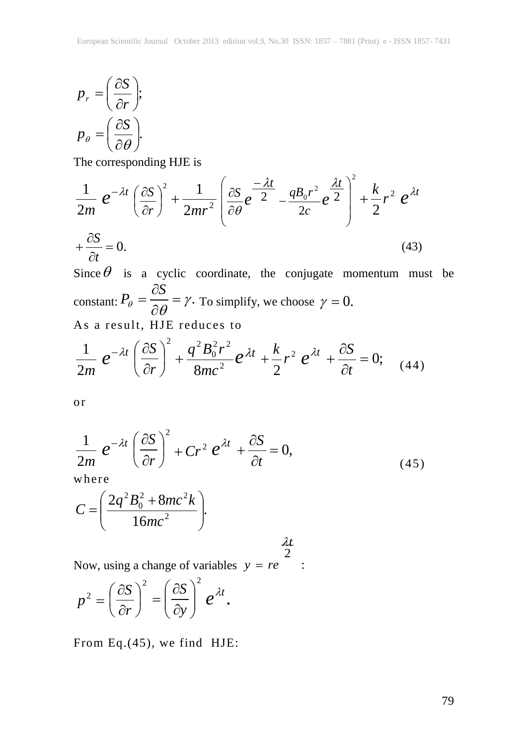$$
p_r = \left(\frac{\partial S}{\partial r}\right);
$$
  

$$
p_\theta = \left(\frac{\partial S}{\partial \theta}\right).
$$

The corresponding HJE is

$$
\frac{1}{2m} e^{-\lambda t} \left(\frac{\partial S}{\partial r}\right)^2 + \frac{1}{2mr^2} \left(\frac{\partial S}{\partial \theta} e^{-\frac{\lambda t}{2}} - \frac{q B_0 r^2}{2c} e^{-\frac{\lambda t}{2}}\right)^2 + \frac{k}{2} r^2 e^{\lambda t}
$$
  
+  $\frac{\partial S}{\partial t} = 0.$  (43)

 $\partial t$ <br>
Since  $\theta$  is a cyclic coordinate, the conjugate momentum must be constant:  $P_{\theta} = \frac{\partial S}{\partial \theta} = \gamma$ . To simplify, we choose  $\gamma = 0$ . As a result, HJE reduces to

$$
\frac{1}{2m} e^{-\lambda t} \left(\frac{\partial S}{\partial r}\right)^2 + \frac{q^2 B_0^2 r^2}{8mc^2} e^{\lambda t} + \frac{k}{2} r^2 e^{\lambda t} + \frac{\partial S}{\partial t} = 0; \quad (44)
$$

or

$$
\frac{1}{2m} e^{-\lambda t} \left(\frac{\partial S}{\partial r}\right)^2 + Cr^2 e^{\lambda t} + \frac{\partial S}{\partial t} = 0,
$$
\n(45)

*t* λ

where

$$
C = \left(\frac{2q^2B_0^2 + 8mc^2k}{16mc^2}\right).
$$

Now, using a change of variables  $y = re$  : 2

$$
p^{2} = \left(\frac{\partial S}{\partial r}\right)^{2} = \left(\frac{\partial S}{\partial y}\right)^{2} e^{\lambda t}.
$$

From Eq.(45), we find HJE: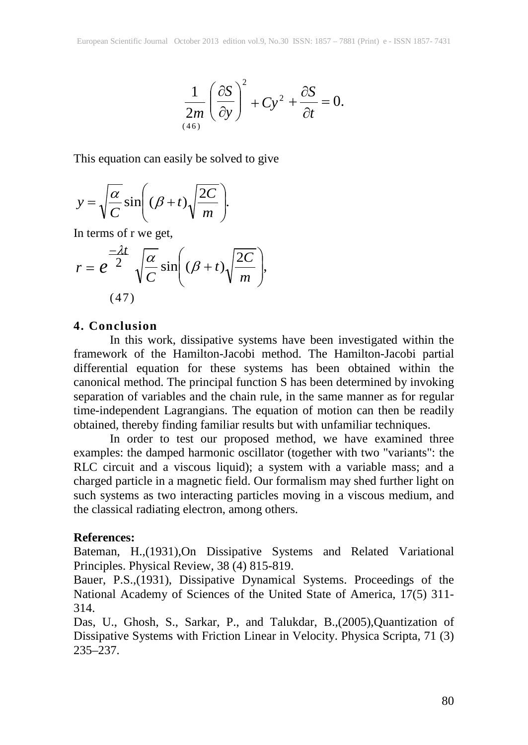$$
\frac{1}{2m} \left( \frac{\partial S}{\partial y} \right)^2 + Cy^2 + \frac{\partial S}{\partial t} = 0.
$$

This equation can easily be solved to give

$$
y = \sqrt{\frac{\alpha}{C}} \sin\left((\beta + t)\sqrt{\frac{2C}{m}}\right).
$$

In terms of r we get,

$$
r = e^{\frac{-\lambda t}{2}} \sqrt{\frac{\alpha}{C}} \sin\left((\beta + t)\sqrt{\frac{2C}{m}}\right),\tag{47}
$$

## **4. Conclusion**

In this work, dissipative systems have been investigated within the framework of the Hamilton-Jacobi method. The Hamilton-Jacobi partial differential equation for these systems has been obtained within the canonical method. The principal function S has been determined by invoking separation of variables and the chain rule, in the same manner as for regular time-independent Lagrangians. The equation of motion can then be readily obtained, thereby finding familiar results but with unfamiliar techniques.

In order to test our proposed method, we have examined three examples: the damped harmonic oscillator (together with two "variants": the RLC circuit and a viscous liquid); a system with a variable mass; and a charged particle in a magnetic field. Our formalism may shed further light on such systems as two interacting particles moving in a viscous medium, and the classical radiating electron, among others.

#### **References:**

Bateman, H.,(1931),On Dissipative Systems and Related Variational Principles. Physical Review, 38 (4) 815-819.

Bauer, P.S.,(1931), Dissipative Dynamical Systems. Proceedings of the National Academy of Sciences of the United State of America, 17(5) 311- 314.

Das, U., Ghosh, S., Sarkar, P., and Talukdar, B.,(2005),Quantization of Dissipative Systems with Friction Linear in Velocity. Physica Scripta, 71 (3) 235–237.